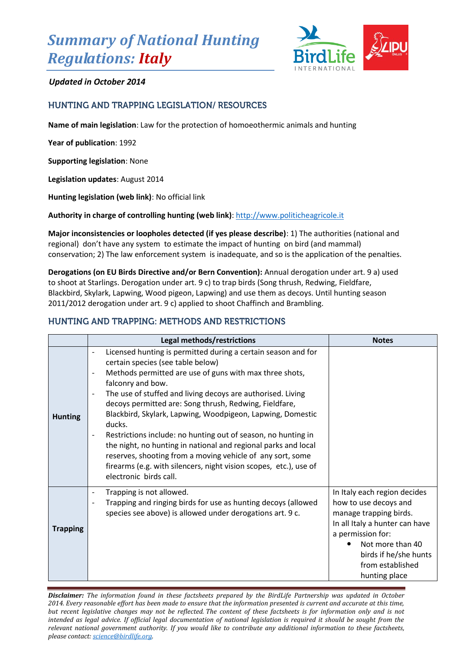# *Summary of National Hunting Regulations: Italy*



# *Updated in October 2014*

# **HUNTING AND TRAPPING LEGISLATION/ RESOURCES**

**Name of main legislation**: Law for the protection of homoeothermic animals and hunting

**Year of publication**: 1992

**Supporting legislation**: None

**Legislation updates**: August 2014

**Hunting legislation (web link)**: No official link

**Authority in charge of controlling hunting (web link)**[: http://www.politicheagricole.it](http://www.politicheagricole.it/)

**Major inconsistencies or loopholes detected (if yes please describe)**: 1) The authorities (national and regional) don't have any system to estimate the impact of hunting on bird (and mammal) conservation; 2) The law enforcement system is inadequate, and so is the application of the penalties.

**Derogations (on EU Birds Directive and/or Bern Convention):** Annual derogation under art. 9 a) used to shoot at Starlings. Derogation under art. 9 c) to trap birds (Song thrush, Redwing, Fieldfare, Blackbird, Skylark, Lapwing, Wood pigeon, Lapwing) and use them as decoys. Until hunting season 2011/2012 derogation under art. 9 c) applied to shoot Chaffinch and Brambling.

## **HUNTING AND TRAPPING: METHODS AND RESTRICTIONS**

|                 | Legal methods/restrictions                                                                                                                                                                                                                                                                                                                                                                                                                                                                                                                                                                                                                                                                                                             | <b>Notes</b>                                                                                                                                                                                                             |
|-----------------|----------------------------------------------------------------------------------------------------------------------------------------------------------------------------------------------------------------------------------------------------------------------------------------------------------------------------------------------------------------------------------------------------------------------------------------------------------------------------------------------------------------------------------------------------------------------------------------------------------------------------------------------------------------------------------------------------------------------------------------|--------------------------------------------------------------------------------------------------------------------------------------------------------------------------------------------------------------------------|
| <b>Hunting</b>  | Licensed hunting is permitted during a certain season and for<br>$\overline{a}$<br>certain species (see table below)<br>Methods permitted are use of guns with max three shots,<br>÷<br>falconry and bow.<br>The use of stuffed and living decoys are authorised. Living<br>$\overline{\phantom{0}}$<br>decoys permitted are: Song thrush, Redwing, Fieldfare,<br>Blackbird, Skylark, Lapwing, Woodpigeon, Lapwing, Domestic<br>ducks.<br>Restrictions include: no hunting out of season, no hunting in<br>the night, no hunting in national and regional parks and local<br>reserves, shooting from a moving vehicle of any sort, some<br>firearms (e.g. with silencers, night vision scopes, etc.), use of<br>electronic birds call. |                                                                                                                                                                                                                          |
| <b>Trapping</b> | Trapping is not allowed.<br>$\qquad \qquad \blacksquare$<br>Trapping and ringing birds for use as hunting decoys (allowed<br>$\overline{a}$<br>species see above) is allowed under derogations art. 9 c.                                                                                                                                                                                                                                                                                                                                                                                                                                                                                                                               | In Italy each region decides<br>how to use decoys and<br>manage trapping birds.<br>In all Italy a hunter can have<br>a permission for:<br>Not more than 40<br>birds if he/she hunts<br>from established<br>hunting place |

*Disclaimer: The information found in these factsheets prepared by the BirdLife Partnership was updated in October 2014. Every reasonable effort has been made to ensure that the information presented is current and accurate at this time, but recent legislative changes may not be reflected. The content of these factsheets is for information only and is not intended as legal advice. If official legal documentation of national legislation is required it should be sought from the relevant national government authority. If you would like to contribute any additional information to these factsheets, please contact[: science@birdlife.org.](mailto:science@birdlife.org)*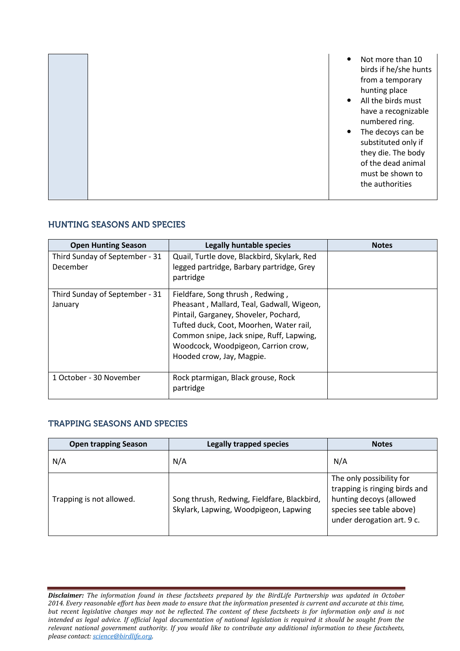|  |  | Not more than 10<br>$\bullet$<br>birds if he/she hunts<br>from a temporary<br>hunting place<br>All the birds must<br>$\bullet$<br>have a recognizable<br>numbered ring.<br>The decoys can be<br>$\bullet$<br>substituted only if<br>they die. The body<br>of the dead animal<br>must be shown to<br>the authorities |
|--|--|---------------------------------------------------------------------------------------------------------------------------------------------------------------------------------------------------------------------------------------------------------------------------------------------------------------------|
|--|--|---------------------------------------------------------------------------------------------------------------------------------------------------------------------------------------------------------------------------------------------------------------------------------------------------------------------|

### **HUNTING SEASONS AND SPECIES**

| <b>Open Hunting Season</b>                 | <b>Legally huntable species</b>                                                                                                                                                                                                                                                   | <b>Notes</b> |
|--------------------------------------------|-----------------------------------------------------------------------------------------------------------------------------------------------------------------------------------------------------------------------------------------------------------------------------------|--------------|
| Third Sunday of September - 31<br>December | Quail, Turtle dove, Blackbird, Skylark, Red<br>legged partridge, Barbary partridge, Grey<br>partridge                                                                                                                                                                             |              |
| Third Sunday of September - 31<br>January  | Fieldfare, Song thrush, Redwing,<br>Pheasant, Mallard, Teal, Gadwall, Wigeon,<br>Pintail, Garganey, Shoveler, Pochard,<br>Tufted duck, Coot, Moorhen, Water rail,<br>Common snipe, Jack snipe, Ruff, Lapwing,<br>Woodcock, Woodpigeon, Carrion crow,<br>Hooded crow, Jay, Magpie. |              |
| 1 October - 30 November                    | Rock ptarmigan, Black grouse, Rock<br>partridge                                                                                                                                                                                                                                   |              |

# **TRAPPING SEASONS AND SPECIES**

| <b>Open trapping Season</b> | <b>Legally trapped species</b>                                                       | <b>Notes</b>                                                                                                                                   |
|-----------------------------|--------------------------------------------------------------------------------------|------------------------------------------------------------------------------------------------------------------------------------------------|
| N/A                         | N/A                                                                                  | N/A                                                                                                                                            |
| Trapping is not allowed.    | Song thrush, Redwing, Fieldfare, Blackbird,<br>Skylark, Lapwing, Woodpigeon, Lapwing | The only possibility for<br>trapping is ringing birds and<br>hunting decoys (allowed<br>species see table above)<br>under derogation art. 9 c. |

*Disclaimer: The information found in these factsheets prepared by the BirdLife Partnership was updated in October 2014. Every reasonable effort has been made to ensure that the information presented is current and accurate at this time, but recent legislative changes may not be reflected. The content of these factsheets is for information only and is not intended as legal advice. If official legal documentation of national legislation is required it should be sought from the relevant national government authority. If you would like to contribute any additional information to these factsheets, please contact[: science@birdlife.org.](mailto:science@birdlife.org)*